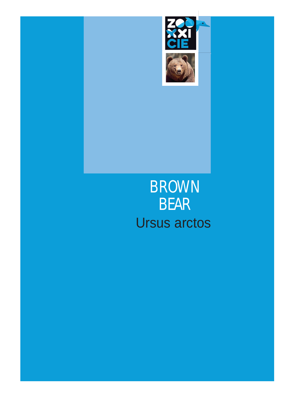

# BROWN BEAR Ursus arctos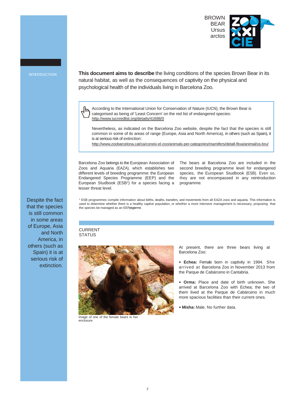

Despite the fact that the species is still common in some areas of Europe, Asia

others (such as Spain) it is at serious risk of

and North America, in

extinction.

INTRODUCTION **This document aims to describe** the living conditions of the species Brown Bear in its natural habitat, as well as the consequences of captivity on the physical and psychological health of the individuals living in Barcelona Zoo.

> ᡕᡰᡰ According to the International Union for Conservation of Nature (IUCN), the Brown Bear is categorised as being of 'Least Concern' on the red list of endangered species: <http://www.iucnredlist.org/details/41688/0>

Nevertheless, as indicated on the Barcelona Zoo website, despite the fact that the species is still common in some of its areas of range (Europe, Asia and North America), in others (such as Spain), it is at serious risk of extinction:

<http://www.zoobarcelona.cat/ca/coneix-el-zoo/animals-per-categories/mamifers/detall-fitxa/animal/os-bru/>

Barcelona Zoo belongs to the European Association of Zoos and Aquaria (EAZA), which establishes two different levels of breeding programme: the European Endangered Species Programme (EEP) and the European Studbook (ESB<sup>1</sup>) for a species facing a lesser threat level.

The bears at Barcelona Zoo are included in the second breeding programme level for endangered species, the European Studbook (ESB). Even so, they are not encompassed in any reintroduction programme.

<sup>1</sup> ESB programmes compile information about births, deaths, transfers, and movements from all EAZA zoos and aquaria. This information is used to determine whether there is a healthy captive population, or whether a more intensive management is necessary, proposing that the species be managed as an EEPprogramme.

## CURRENT **STATUS**



Image of one of the female bears in her enclosure

At present, there are three bears living at Barcelona Zoo:

- **• Echea:** Female born in captivity in 1994. She arrived at Barcelona Zoo in November 2013 from the Parque de Cabárceno in Cantabria.
- **• Orma:** Place and date of birth unknown. She arrived at Barcelona Zoo with Echea; the two of them lived at the Parque de Cabárceno in much more spacious facilities than their current ones.
- **• Misha:** Male. No further data.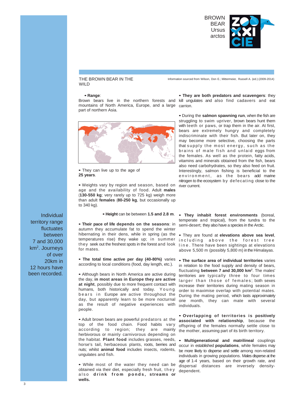

## THE BROWN BEAR IN THE WILD

### **• Range**:

Brown bears live in the northern forests and kill ungulates and also find cadavers and eat mountains of North America, Europe, and a large carrion. part of northern Asia.



**•** They can live up to the age of **25 years**.

**•** Weights vary by region and season, based on age and the availability of food. Adult **males**  (**130-550 kg**; very rarely up to 725 kg) weigh more than adult **females** (**80-250 kg**, but occasionally up to 340 kg).

**• Their pace of life depends on the seasons**: in autumn they accumulate fat to spend the winter hibernating in their dens, while in spring (as the temperatures rise) they wake up; in summer they seek out the freshest spots in the forest and look for mates.

**• The total time active per day (40-80%)** varies according to local conditions (food, day length, etc.).

**•** Although bears in North America are active during the day, **in most areas in Europe they are active at night**, possibly due to more frequent contact with humans, both historically and today. Youn g bears in Europe are active throughout the day, but apparently learn to be more nocturnal as the result of negative experiences with people.

**•** Adult brown bears are powerful predators at the top of the food chain. Food habits vary according to region; they are mainly herbivorous or mainly carnivorous depending on the habitat. **Plant food** includes grasses, reeds, **• Multigenerational and matrilineal** couplings horse's tail, herbaceous plants, roots, berries and nuts; whilst **animal food** includes insects, rodents, ungulates and fish.

**•** While most of the water they need can be obtained via their diet, especially fresh fruit, they also **drink from ponds , streams or wells.**

**• They are both predators and scavengers**: they

Information sourced from Wilson, Don E.; Mittermeier, Russell A. (ed.) (2009-2014)

**•** During the **salmon spawning run**, when the fish are struggling to swim upriver, brown bears hunt them with teeth or paws, or trap them in the air. At first, bears are extremely hungry and completely indiscriminate with their fish. But later on, they may become more selective, choosing the parts that supply the most energy, such as the brains of male fish and unlaid eggs from the females. As well as the protein, fatty acids, vitamins and minerals obtained from the fish, bears also need carbohydrates, so they also feed on fruit. Interestingly, salmon fishing is beneficial to the environment, as the bears add marine nitrogen to the ecosystem by defecating close to the river current.

**• Height** can be between **1.5 and 2.8 m**. **• They inhabit forest environments** (boreal, temperate and tropical), from the tundra to the semi-desert; they also have a species in the Arctic.

> **•** They are found at **elevations above sea level**, including above the forest tree line . There have been sightings at elevations above 5,500 m (possibly 5,800 m) in the Himalayas.

> **• The surface area of individual territories** varies in relation to the food supply and density of bears, fluctuating **between 7 and 30,000 km2** . The males' territories are typically three to four times larger than those of females; both sexes increase their territories during mating season in order to maximise overlap with potential mates. During the mating period, which lasts approximately one month, they can mate with several individuals.

**• Overlapping of territories is positively associated with relationship**, because the offspring of the females normally settle close to the mother, assuming part of its birth territory.

occur in established **populations**, while females may be more likely to disperse and settle among non-related individuals in growing populations. Males disperse at the age of 1-4 years, based on their growth rate, and dispersal distances are inversely densitydependent.

Individual territory range fluctuates between 7 and 30,000 km2. Journeys of over 20km in 12 hours have been recorded.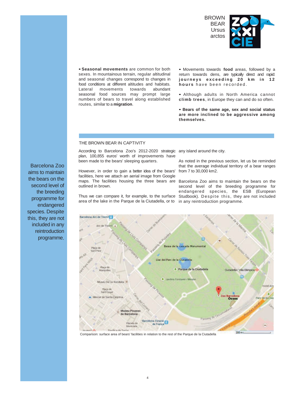

**• Seasonal movements** are common for both sexes. In mountainous terrain, regular altitudinal and seasonal changes correspond to changes in food conditions at different altitudes and habitats. Lateral movements towards abundant seasonal food sources may prompt large numbers of bears to travel along established routes, similar to a **migration**.

**•** Movements towards **food** areas, followed by a return towards dens, are typically direct and rapid: **journeys exceeding 20 km in 12 hours** have been recorded .

**•** Although adults in North America cannot **climb trees**, in Europe they can and do so often.

**• Bears of the same age, sex and social status are more inclined to be aggressive among themselves.**

## THE BROWN BEAR IN CAPTIVITY

According to Barcelona Zoo's 2012-2020 strategic any island around the city. plan, 100,855 euros' worth of improvements have been made to the bears' sleeping quarters.

However, in order to gain a better idea of the bears' from 7 to 30,000 km2. facilities, here we attach an aerial image from Google outlined in brown.

Thus we can compare it, for example, to the surface Studbook). Des pite this, they are not included area of the lake in the Parque de la Ciutadella, or to in any reintroduction programme.

As noted in the previous section, let us be reminded that the average individual territory of a bear ranges

maps. The facilities housing the three bears are Barcelona Zoo aims to maintain the bears on the second level of the breeding programme for endangered species, the ESB (European



Comparison: surface area of bears' facilities in relation to the rest of the Parque de la Ciutadella

Barcelona Zoo aims to maintain the bears on the second level of the breeding programme for endangered species. Despite this, they are not included in any reintroduction programme.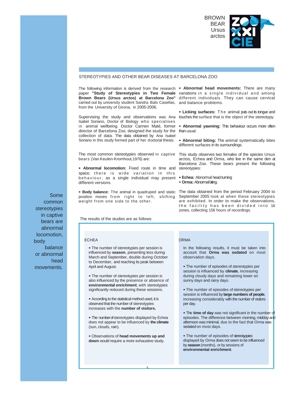

## STEREOTYPIES AND OTHER BEAR DISEASES AT BARCELONA ZOO

The following information is derived from the research **• Abnormal head movements:** There are many paper **"Study of Stereotypies in Two Female**  variations in a single individual and among **Brown Bears (Ursus arctos) at Barcelona Zoo"** different individuals. They can cause cervical carried out by university student Sandra Bals Casellas, and balance problems. from the University of Girona, in 2005-2006.

Supervising the study and observations was Ana touches the surface that is the object of the stereotypy. Isabel Soriano, Doctor of Biology who specialises in animal wellbeing. Doctor Carmen Maté, former **• Abnormal yawning:** This behaviour occurs more often director of Barcelona Zoo, designed the study for the collection of data. The data obtained by Ana Isabel Soriano in this study formed part of her doctoral thesis.

The most common stereotypies observed in captive This study observes two females of the species Ursus bears (Van Keulen-Kromhout,1976) are:

**• Abnormal locomotion:** Fixed route in time and stereotypies: space; there is wide variation in this behaviour , as a single individual may present **• Echea:** Abnormal head turning different versions.

position moves from right to left, shifting September 2005 look at when these stereotypies weight from one side to the other.

The results of the studies are as follows:

**•** The number of stereotypies per session is influenced by **season**, presenting less during March and September, double during October to December, and reaching its peak between April and August.

**•** The number of stereotypies per session is also influenced by the presence or absence of **environmental enrichment**, with stereotypies significantly reduced during these sessions.

**•** According to the statistical method used, it is observed that the number of stereotypies increases with the **number of visitors.**

**•** The number of stereotypies displayed by Echea does not appear to be influenced by **the climate**  (sun, clouds, rain).

**•** Observations of **head movements up and down** would require a more exhaustive study.

**• Licking surfaces:** The animal puts out its tongue and

than usual.

**• Abnormal biting:** The animal systematically bites different surfaces in its surroundings.

arctos, Echea and Orma, who live in the same den at Barcelona Zoo. These bears present the following

• **Orma:** Abnormal biting.

• Body balance: The animal in quadruped and static The data obtained from the period February 2004 to are exhibited. In order to make the observations, the facility has been divided into 16 zones, collecting 156 hours of recordings.

In the following results, it must be taken into account that **Orma was sedated** on most observation days.

**•** The number of episodes of stereotypies per session is influenced by **climate**, increasing during cloudy days and remaining lower on sunny days and rainy days.

**•** The number of episodes of stereotypies per session is influenced by **large numbers of people**, increasing considerably with the number of visitors per day.

**•** The **time of day** was not significant in the number of episodes. The difference between morning, midday and afternoon was minimal, due to the fact that Orma was sedated on most days.

**•** The number of episodes of stereotyppies displayed by Orma does not seem to be influenced by **season** (months), or by sessions of **environmental enrichment**.

Some common stereotypies in captive bears are abnormal locomotion, body ECHEA ORMA balance or abnormal head movements.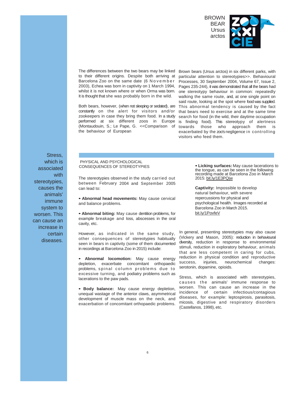

The differences between the two bears may be linked to their different origins. Despite both arriving at Barcelona Zoo on the same date (6 November 2003), Echea was born in captivity on 1 March 1994, whilst it is not known where or when Orma was born. It is thought that she was probably born in the wild.

Both bears, however, (when not sleeping or sedated), are constantly on the alert for visitors and/or zookeepers in case they bring them food. In a study performed at six different zoos in Europe (Montaudouin, S.; Le Pape, G. <<Comparison of the behaviour of European

Brown bears (Ursus arctos) in six different parks, with particular attention to stereotypies>>. Behavioural Processes, 30 September 2004, Volume 67, Issue 2, Pages 235-244), it was demonstrated that all the bears had one stereotypy behaviour in common: repeatedly walking the same route, and, at one single point on said route, looking at the spot where food was supplied. This abnormal tendency is caused by the fact that bears need to exercise and at the same time search for food (in the wild, their daytime occupation is finding food). This stereotypy of alertness towards those who approach them is exacerbated by the zoo's negligence in controlling visitors who feed them.

Stress, which is associated with stereotypies, causes the animals' immune system to worsen. This can cause an increase in certain diseases.

## PHYSICAL AND PSYCHOLOGICAL CONSEQUENCES OF STEREOTYPIES

The stereotypies observed in the study carried out between February 2004 and September 2005 can lead to:

**• Abnormal head movements:** May cause cervical and balance problems.

**• Abnormal biting:** May cause dentition problems, for example breakage and loss, abscesses in the oral cavity, etc.

However, as indicated in the same study, other consequences of stereotypies habitually seen in bears in captivity (some of them documented in recordings at Barcelona Zoo in 2015) include:

**• Abnormal locomotion:** May cause energy depletion, exacerbate concomitant orthopaedic problems, spinal column problems due to excessive turning, and podiatry problems such as lacerations to the paw pads.

**• Body balance:** May cause energy depletion, unequal wastage of the anterior claws, asymmetrical development of muscle mass on the neck, and exacerbation of concomitant orthopaedic problems. **• Licking surfaces:** May cause lacerations to the tongue, as can be seen in the following recording made at Barcelona Zoo in March 2015: bit.ly/1E3PQjw

**Captivity:** Impossible to develop natural behaviour, with severe repercussions for physical and psychological health. Images recorded at Barcelona Zoo in March 2015. bit.ly/1PovfeV

In general, presenting stereotypies may also cause (Vickery and Mason, 2005): reduction in behavioural diversity, reduction in response to environmental stimuli, reduction in exploratory behaviour, animals that are less competent in caring for cubs, reduction in physical condition and reproductive success, injuries, neurochemical changes: serotonin, dopamine, opioids.

Stress, which is associated with stereotypies, causes the animals' immune response to worsen. This can cause an increase in the incidence of certain infectious/contagious diseases, for example: leptospirosis, parasitosis, micosis, digestive and respiratory disorders (Castellanos, 1998), etc.